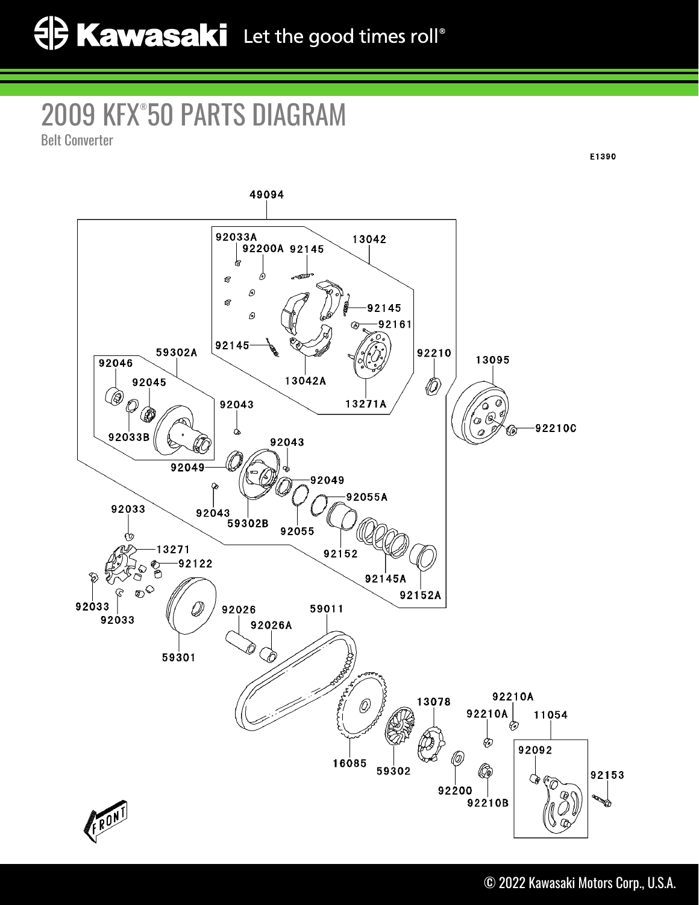## 2009 KFX® 50 PARTS DIAGRAM

Belt Converter



E1390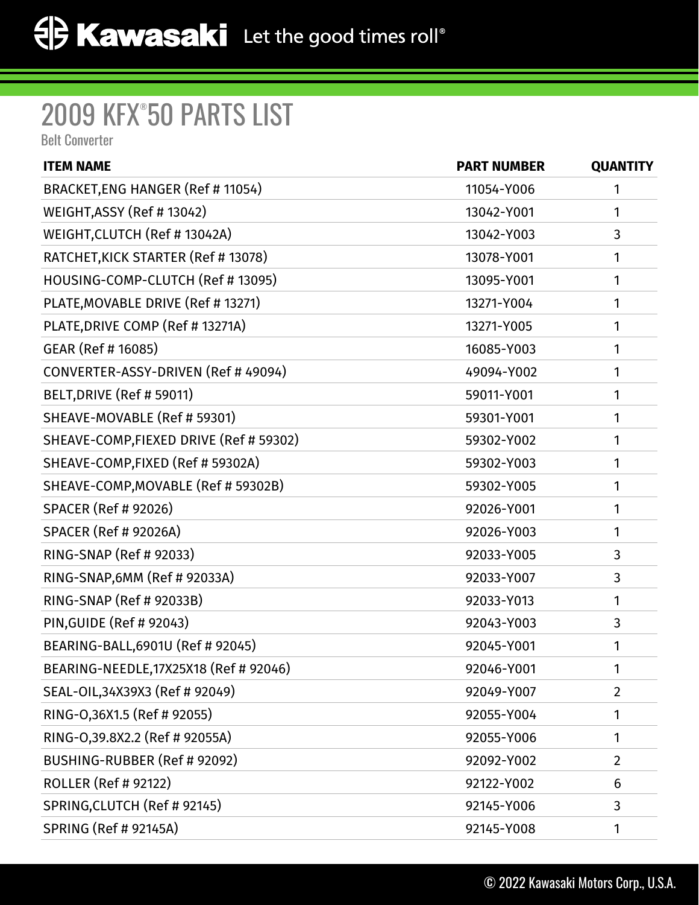## 2009 KFX® 50 PARTS LIST

Belt Converter

| <b>ITEM NAME</b>                        | <b>PART NUMBER</b> | <b>QUANTITY</b> |
|-----------------------------------------|--------------------|-----------------|
| BRACKET, ENG HANGER (Ref # 11054)       | 11054-Y006         | 1               |
| WEIGHT, ASSY (Ref # 13042)              | 13042-Y001         | 1               |
| WEIGHT, CLUTCH (Ref # 13042A)           | 13042-Y003         | 3               |
| RATCHET, KICK STARTER (Ref # 13078)     | 13078-Y001         | 1               |
| HOUSING-COMP-CLUTCH (Ref # 13095)       | 13095-Y001         | 1               |
| PLATE, MOVABLE DRIVE (Ref # 13271)      | 13271-Y004         | 1               |
| PLATE, DRIVE COMP (Ref # 13271A)        | 13271-Y005         | 1               |
| GEAR (Ref # 16085)                      | 16085-Y003         | 1               |
| CONVERTER-ASSY-DRIVEN (Ref # 49094)     | 49094-Y002         | 1               |
| BELT, DRIVE (Ref # 59011)               | 59011-Y001         | 1               |
| SHEAVE-MOVABLE (Ref # 59301)            | 59301-Y001         | 1               |
| SHEAVE-COMP, FIEXED DRIVE (Ref # 59302) | 59302-Y002         | 1               |
| SHEAVE-COMP, FIXED (Ref # 59302A)       | 59302-Y003         | 1               |
| SHEAVE-COMP, MOVABLE (Ref # 59302B)     | 59302-Y005         | 1               |
| <b>SPACER (Ref # 92026)</b>             | 92026-Y001         | 1               |
| <b>SPACER (Ref # 92026A)</b>            | 92026-Y003         | 1               |
| RING-SNAP (Ref # 92033)                 | 92033-Y005         | 3               |
| RING-SNAP, 6MM (Ref # 92033A)           | 92033-Y007         | 3               |
| RING-SNAP (Ref # 92033B)                | 92033-Y013         | 1               |
| PIN, GUIDE (Ref # 92043)                | 92043-Y003         | 3               |
| BEARING-BALL, 6901U (Ref # 92045)       | 92045-Y001         | 1               |
| BEARING-NEEDLE, 17X25X18 (Ref # 92046)  | 92046-Y001         | 1               |
| SEAL-OIL, 34X39X3 (Ref # 92049)         | 92049-Y007         | $\overline{2}$  |
| RING-0,36X1.5 (Ref # 92055)             | 92055-Y004         | 1               |
| RING-0,39.8X2.2 (Ref # 92055A)          | 92055-Y006         | 1               |
| BUSHING-RUBBER (Ref # 92092)            | 92092-Y002         | $\overline{2}$  |
| <b>ROLLER (Ref # 92122)</b>             | 92122-Y002         | 6               |
| SPRING, CLUTCH (Ref # 92145)            | 92145-Y006         | 3               |
| <b>SPRING (Ref # 92145A)</b>            | 92145-Y008         | 1               |